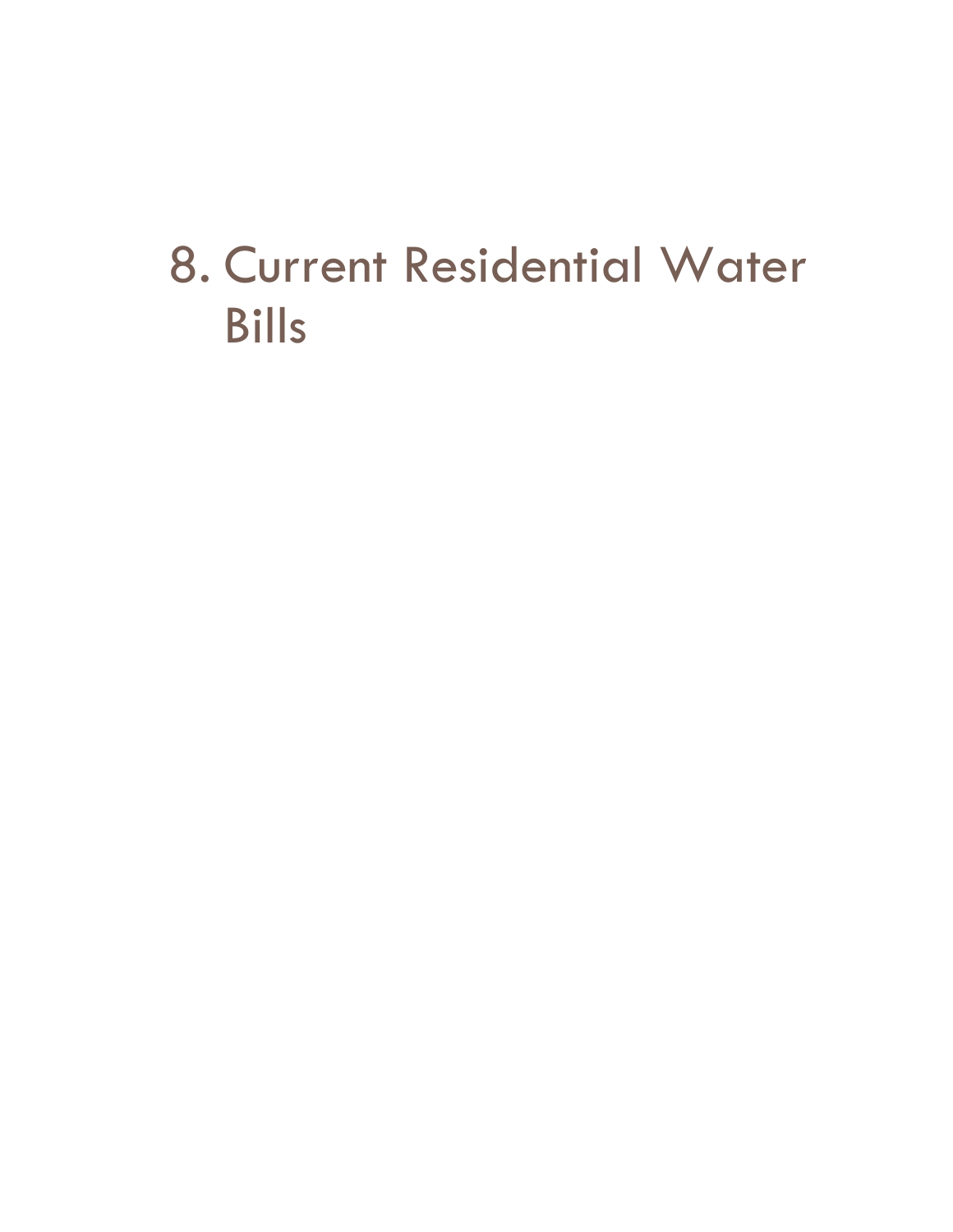# 8. Current Residential Water Bills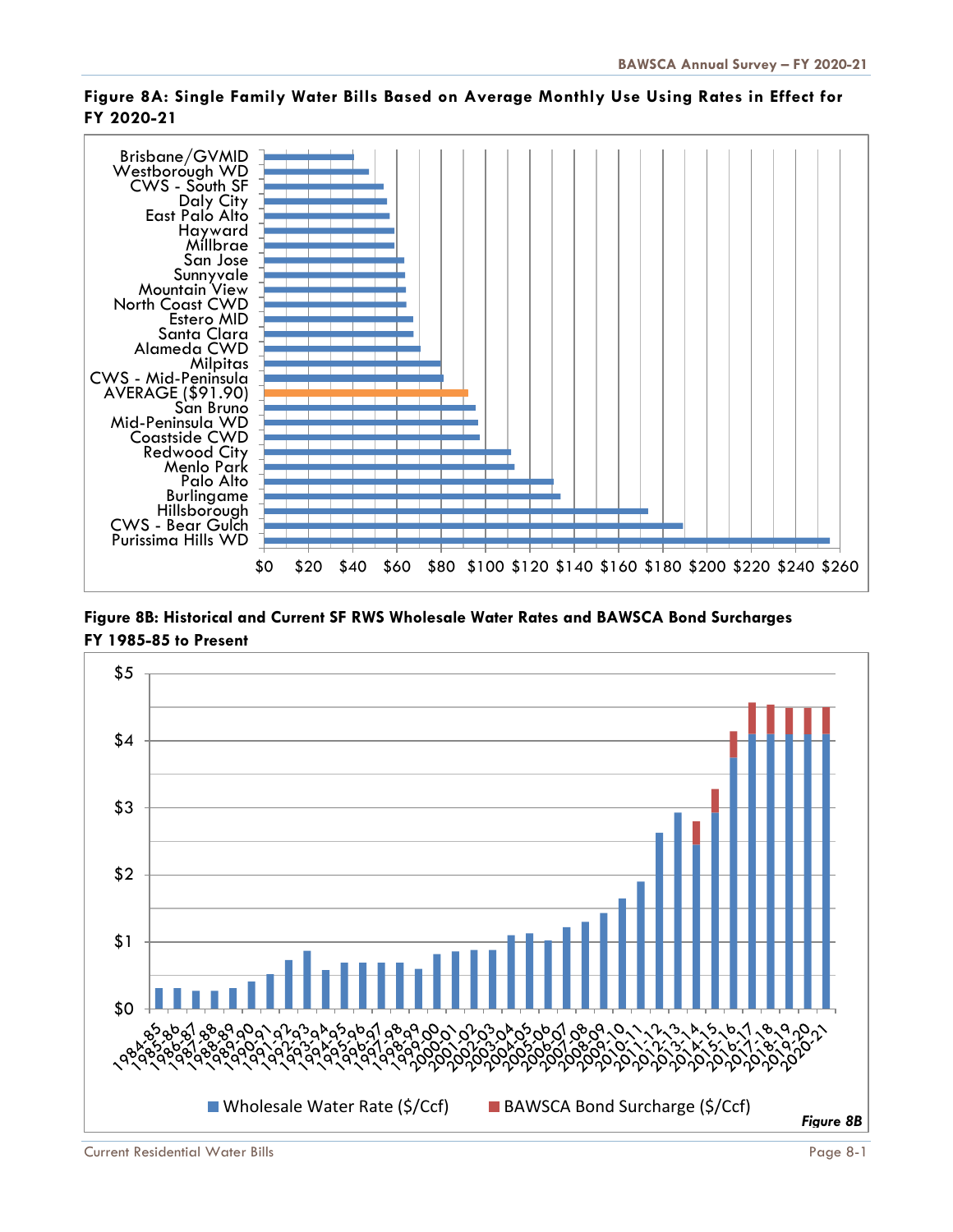

### **Figure 8A: Single Family Water Bills Based on Average Monthly Use Using Rates in Effect for FY 2020-21**

**Figure 8B: Historical and Current SF RWS Wholesale Water Rates and BAWSCA Bond Surcharges FY 1985-85 to Present**

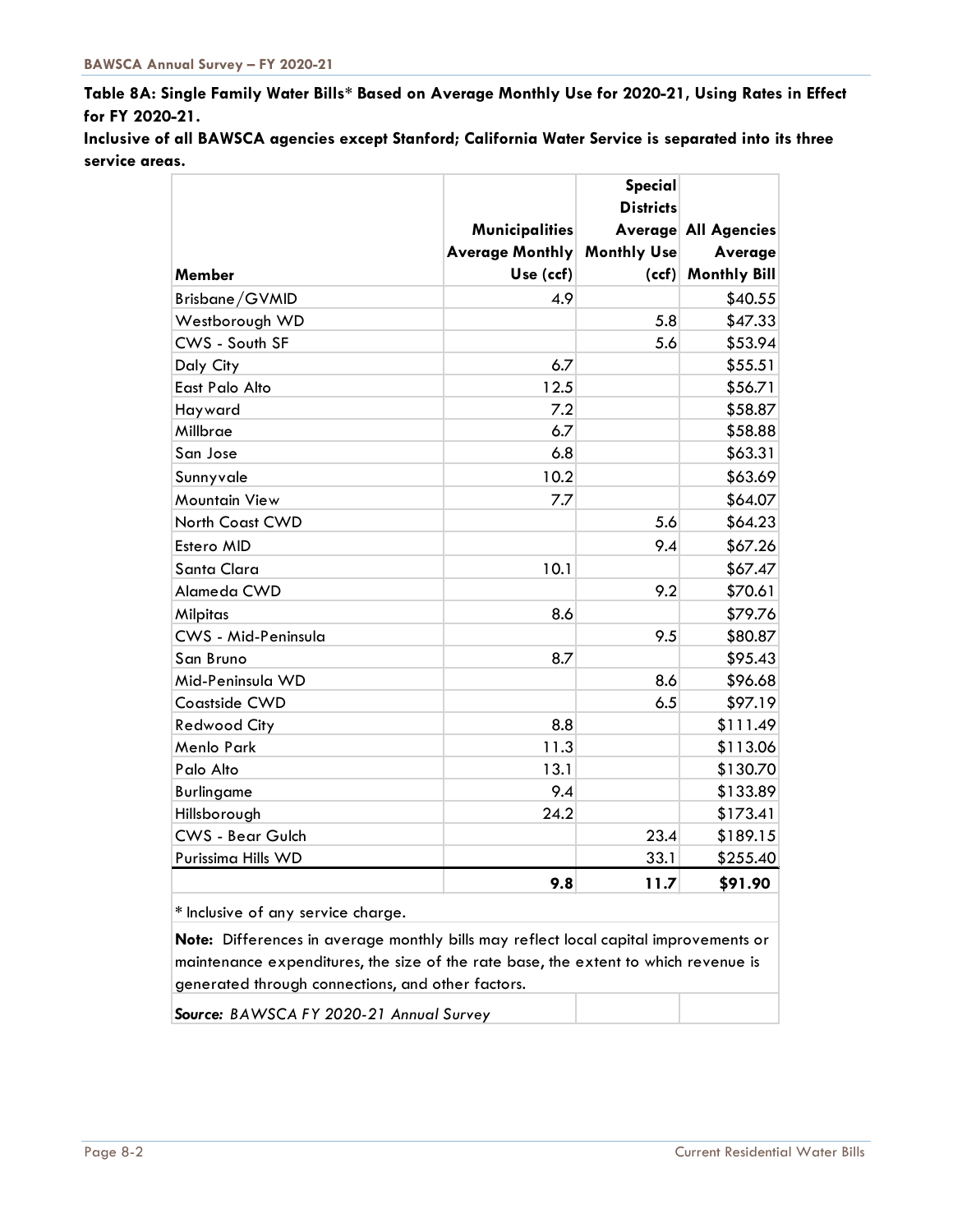**Table 8A: Single Family Water Bills\* Based on Average Monthly Use for 2020-21, Using Rates in Effect for FY 2020-21.**

**Inclusive of all BAWSCA agencies except Stanford; California Water Service is separated into its three service areas.**

| <b>Districts</b><br><b>Municipalities</b><br><b>Average All Agencies</b><br><b>Average Monthly</b><br><b>Monthly Use</b><br>Average<br><b>Monthly Bill</b><br>Use (ccf)<br><b>Member</b><br>(ccf)<br>Brisbane/GVMID<br>4.9<br>\$40.55<br>5.8<br>\$47.33<br>Westborough WD<br>CWS - South SF<br>\$53.94<br>5.6<br>6.7<br>\$55.51<br>Daly City<br>East Palo Alto<br>12.5<br>\$56.71<br>7.2<br>\$58.87<br>Hayward<br>6.7<br>\$58.88<br>Millbrae<br>6.8<br>San Jose<br>\$63.31<br>10.2<br>\$63.69<br>Sunnyvale<br>\$64.07<br><b>Mountain View</b><br>7.7<br><b>North Coast CWD</b><br>5.6<br>\$64.23<br>9.4<br>\$67.26<br>Estero MID<br>Santa Clara<br>10.1<br>\$67.47<br>9.2<br>Alameda CWD<br>\$70.61<br>\$79.76<br>Milpitas<br>8.6<br>CWS - Mid-Peninsula<br>9.5<br>\$80.87<br>\$95.43<br>8.7<br>San Bruno<br>8.6<br>\$96.68<br>Mid-Peninsula WD<br>6.5<br>\$97.19<br>Coastside CWD<br>8.8<br>\$111.49<br><b>Redwood City</b><br>11.3<br>Menlo Park<br>\$113.06<br>13.1<br>Palo Alto<br>\$130.70<br>9.4<br>\$133.89<br><b>Burlingame</b><br>24.2<br>\$173.41<br>Hillsborough<br>23.4<br><b>CWS - Bear Gulch</b><br>\$189.15<br>33.1<br>Purissima Hills WD<br>\$255.40<br>\$91.90<br>11.7<br>9.8<br>* Inclusive of any service charge.<br>Note: Differences in average monthly bills may reflect local capital improvements or |  |  | Special |  |  |  |  |  |
|------------------------------------------------------------------------------------------------------------------------------------------------------------------------------------------------------------------------------------------------------------------------------------------------------------------------------------------------------------------------------------------------------------------------------------------------------------------------------------------------------------------------------------------------------------------------------------------------------------------------------------------------------------------------------------------------------------------------------------------------------------------------------------------------------------------------------------------------------------------------------------------------------------------------------------------------------------------------------------------------------------------------------------------------------------------------------------------------------------------------------------------------------------------------------------------------------------------------------------------------------------------------------------------------------------------------------|--|--|---------|--|--|--|--|--|
|                                                                                                                                                                                                                                                                                                                                                                                                                                                                                                                                                                                                                                                                                                                                                                                                                                                                                                                                                                                                                                                                                                                                                                                                                                                                                                                              |  |  |         |  |  |  |  |  |
|                                                                                                                                                                                                                                                                                                                                                                                                                                                                                                                                                                                                                                                                                                                                                                                                                                                                                                                                                                                                                                                                                                                                                                                                                                                                                                                              |  |  |         |  |  |  |  |  |
|                                                                                                                                                                                                                                                                                                                                                                                                                                                                                                                                                                                                                                                                                                                                                                                                                                                                                                                                                                                                                                                                                                                                                                                                                                                                                                                              |  |  |         |  |  |  |  |  |
|                                                                                                                                                                                                                                                                                                                                                                                                                                                                                                                                                                                                                                                                                                                                                                                                                                                                                                                                                                                                                                                                                                                                                                                                                                                                                                                              |  |  |         |  |  |  |  |  |
|                                                                                                                                                                                                                                                                                                                                                                                                                                                                                                                                                                                                                                                                                                                                                                                                                                                                                                                                                                                                                                                                                                                                                                                                                                                                                                                              |  |  |         |  |  |  |  |  |
|                                                                                                                                                                                                                                                                                                                                                                                                                                                                                                                                                                                                                                                                                                                                                                                                                                                                                                                                                                                                                                                                                                                                                                                                                                                                                                                              |  |  |         |  |  |  |  |  |
|                                                                                                                                                                                                                                                                                                                                                                                                                                                                                                                                                                                                                                                                                                                                                                                                                                                                                                                                                                                                                                                                                                                                                                                                                                                                                                                              |  |  |         |  |  |  |  |  |
|                                                                                                                                                                                                                                                                                                                                                                                                                                                                                                                                                                                                                                                                                                                                                                                                                                                                                                                                                                                                                                                                                                                                                                                                                                                                                                                              |  |  |         |  |  |  |  |  |
|                                                                                                                                                                                                                                                                                                                                                                                                                                                                                                                                                                                                                                                                                                                                                                                                                                                                                                                                                                                                                                                                                                                                                                                                                                                                                                                              |  |  |         |  |  |  |  |  |
|                                                                                                                                                                                                                                                                                                                                                                                                                                                                                                                                                                                                                                                                                                                                                                                                                                                                                                                                                                                                                                                                                                                                                                                                                                                                                                                              |  |  |         |  |  |  |  |  |
|                                                                                                                                                                                                                                                                                                                                                                                                                                                                                                                                                                                                                                                                                                                                                                                                                                                                                                                                                                                                                                                                                                                                                                                                                                                                                                                              |  |  |         |  |  |  |  |  |
|                                                                                                                                                                                                                                                                                                                                                                                                                                                                                                                                                                                                                                                                                                                                                                                                                                                                                                                                                                                                                                                                                                                                                                                                                                                                                                                              |  |  |         |  |  |  |  |  |
|                                                                                                                                                                                                                                                                                                                                                                                                                                                                                                                                                                                                                                                                                                                                                                                                                                                                                                                                                                                                                                                                                                                                                                                                                                                                                                                              |  |  |         |  |  |  |  |  |
|                                                                                                                                                                                                                                                                                                                                                                                                                                                                                                                                                                                                                                                                                                                                                                                                                                                                                                                                                                                                                                                                                                                                                                                                                                                                                                                              |  |  |         |  |  |  |  |  |
|                                                                                                                                                                                                                                                                                                                                                                                                                                                                                                                                                                                                                                                                                                                                                                                                                                                                                                                                                                                                                                                                                                                                                                                                                                                                                                                              |  |  |         |  |  |  |  |  |
|                                                                                                                                                                                                                                                                                                                                                                                                                                                                                                                                                                                                                                                                                                                                                                                                                                                                                                                                                                                                                                                                                                                                                                                                                                                                                                                              |  |  |         |  |  |  |  |  |
|                                                                                                                                                                                                                                                                                                                                                                                                                                                                                                                                                                                                                                                                                                                                                                                                                                                                                                                                                                                                                                                                                                                                                                                                                                                                                                                              |  |  |         |  |  |  |  |  |
|                                                                                                                                                                                                                                                                                                                                                                                                                                                                                                                                                                                                                                                                                                                                                                                                                                                                                                                                                                                                                                                                                                                                                                                                                                                                                                                              |  |  |         |  |  |  |  |  |
|                                                                                                                                                                                                                                                                                                                                                                                                                                                                                                                                                                                                                                                                                                                                                                                                                                                                                                                                                                                                                                                                                                                                                                                                                                                                                                                              |  |  |         |  |  |  |  |  |
|                                                                                                                                                                                                                                                                                                                                                                                                                                                                                                                                                                                                                                                                                                                                                                                                                                                                                                                                                                                                                                                                                                                                                                                                                                                                                                                              |  |  |         |  |  |  |  |  |
|                                                                                                                                                                                                                                                                                                                                                                                                                                                                                                                                                                                                                                                                                                                                                                                                                                                                                                                                                                                                                                                                                                                                                                                                                                                                                                                              |  |  |         |  |  |  |  |  |
|                                                                                                                                                                                                                                                                                                                                                                                                                                                                                                                                                                                                                                                                                                                                                                                                                                                                                                                                                                                                                                                                                                                                                                                                                                                                                                                              |  |  |         |  |  |  |  |  |
|                                                                                                                                                                                                                                                                                                                                                                                                                                                                                                                                                                                                                                                                                                                                                                                                                                                                                                                                                                                                                                                                                                                                                                                                                                                                                                                              |  |  |         |  |  |  |  |  |
|                                                                                                                                                                                                                                                                                                                                                                                                                                                                                                                                                                                                                                                                                                                                                                                                                                                                                                                                                                                                                                                                                                                                                                                                                                                                                                                              |  |  |         |  |  |  |  |  |
|                                                                                                                                                                                                                                                                                                                                                                                                                                                                                                                                                                                                                                                                                                                                                                                                                                                                                                                                                                                                                                                                                                                                                                                                                                                                                                                              |  |  |         |  |  |  |  |  |
|                                                                                                                                                                                                                                                                                                                                                                                                                                                                                                                                                                                                                                                                                                                                                                                                                                                                                                                                                                                                                                                                                                                                                                                                                                                                                                                              |  |  |         |  |  |  |  |  |
|                                                                                                                                                                                                                                                                                                                                                                                                                                                                                                                                                                                                                                                                                                                                                                                                                                                                                                                                                                                                                                                                                                                                                                                                                                                                                                                              |  |  |         |  |  |  |  |  |
|                                                                                                                                                                                                                                                                                                                                                                                                                                                                                                                                                                                                                                                                                                                                                                                                                                                                                                                                                                                                                                                                                                                                                                                                                                                                                                                              |  |  |         |  |  |  |  |  |
|                                                                                                                                                                                                                                                                                                                                                                                                                                                                                                                                                                                                                                                                                                                                                                                                                                                                                                                                                                                                                                                                                                                                                                                                                                                                                                                              |  |  |         |  |  |  |  |  |
|                                                                                                                                                                                                                                                                                                                                                                                                                                                                                                                                                                                                                                                                                                                                                                                                                                                                                                                                                                                                                                                                                                                                                                                                                                                                                                                              |  |  |         |  |  |  |  |  |
|                                                                                                                                                                                                                                                                                                                                                                                                                                                                                                                                                                                                                                                                                                                                                                                                                                                                                                                                                                                                                                                                                                                                                                                                                                                                                                                              |  |  |         |  |  |  |  |  |
|                                                                                                                                                                                                                                                                                                                                                                                                                                                                                                                                                                                                                                                                                                                                                                                                                                                                                                                                                                                                                                                                                                                                                                                                                                                                                                                              |  |  |         |  |  |  |  |  |
|                                                                                                                                                                                                                                                                                                                                                                                                                                                                                                                                                                                                                                                                                                                                                                                                                                                                                                                                                                                                                                                                                                                                                                                                                                                                                                                              |  |  |         |  |  |  |  |  |
| maintenance expenditures, the size of the rate base, the extent to which revenue is<br>generated through connections, and other factors.                                                                                                                                                                                                                                                                                                                                                                                                                                                                                                                                                                                                                                                                                                                                                                                                                                                                                                                                                                                                                                                                                                                                                                                     |  |  |         |  |  |  |  |  |

*Source: BAWSCA FY 2020-21 Annual Survey*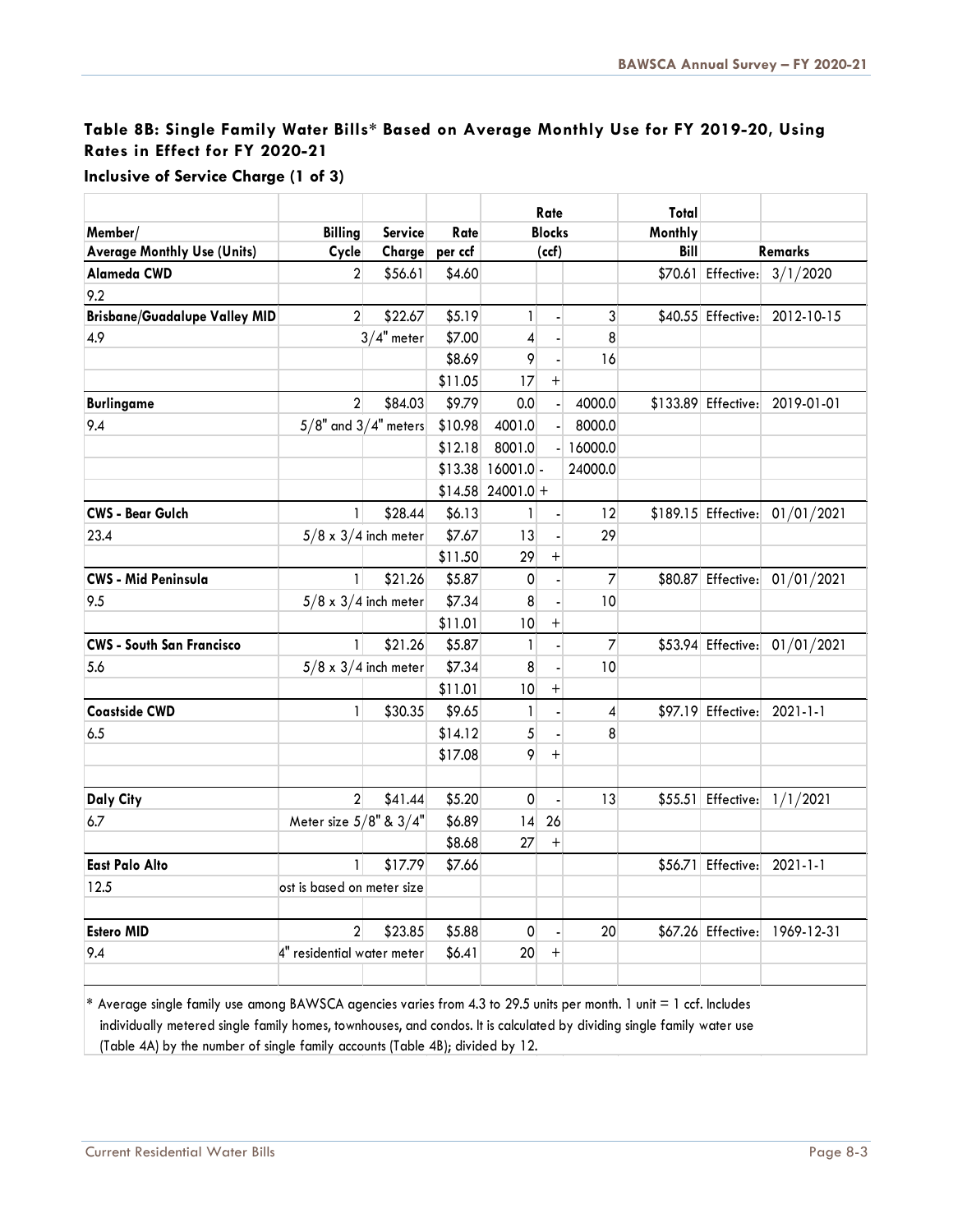## **Table 8B: Single Family Water Bills\* Based on Average Monthly Use for FY 2019-20, Using Rates in Effect for FY 2020-21**

|                                      |                              |                             |         | Rate           |                | Total          |         |                     |                                |
|--------------------------------------|------------------------------|-----------------------------|---------|----------------|----------------|----------------|---------|---------------------|--------------------------------|
| Member/                              | <b>Billing</b>               | Service                     | Rate    | <b>Blocks</b>  |                |                | Monthly |                     |                                |
| <b>Average Monthly Use (Units)</b>   | Cycle                        | Charge                      | per ccf | (ccf)          |                |                | Bill    | <b>Remarks</b>      |                                |
| Alameda CWD                          | $\overline{2}$               | \$56.61                     | \$4.60  |                |                |                |         |                     | \$70.61 Effective: 3/1/2020    |
| 9.2                                  |                              |                             |         |                |                |                |         |                     |                                |
| <b>Brisbane/Guadalupe Valley MID</b> | $\overline{2}$               | \$22.67                     | \$5.19  | 1              |                | 3              |         | \$40.55 Effective:  | 2012-10-15                     |
| 4.9                                  |                              | $3/4"$ meter                | \$7.00  | 4              |                | 8              |         |                     |                                |
|                                      |                              |                             | \$8.69  | 9              | $\blacksquare$ | 16             |         |                     |                                |
|                                      |                              |                             | \$11.05 | 17             | $^{+}$         |                |         |                     |                                |
| <b>Burlingame</b>                    | $\overline{2}$               | \$84.03                     | \$9.79  | 0.0            | a.             | 4000.0         |         |                     | \$133.89 Effective: 2019-01-01 |
| 9.4                                  | $5/8"$ and $3/4"$ meters     |                             | \$10.98 | 4001.0         |                | 8000.0         |         |                     |                                |
|                                      |                              |                             | \$12.18 | 8001.0         |                | 16000.0        |         |                     |                                |
|                                      |                              |                             | \$13.38 | 16001.0        |                | 24000.0        |         |                     |                                |
|                                      |                              |                             | \$14.58 | $24001.0 +$    |                |                |         |                     |                                |
| <b>CWS - Bear Gulch</b>              | $\mathbf{1}$                 | \$28.44                     | \$6.13  | $\mathbf{1}$   |                | 12             |         | \$189.15 Effective: | 01/01/2021                     |
| 23.4                                 |                              | $5/8 \times 3/4$ inch meter | \$7.67  | 13             |                | 29             |         |                     |                                |
|                                      |                              |                             | \$11.50 | 29             | $\ddot{}$      |                |         |                     |                                |
| <b>CWS - Mid Peninsula</b>           | 1                            | \$21.26                     | \$5.87  | 0              |                | $\overline{7}$ |         | \$80.87 Effective:  | 01/01/2021                     |
| 9.5                                  |                              | $5/8 \times 3/4$ inch meter | \$7.34  | 8              |                | 10             |         |                     |                                |
|                                      |                              |                             | \$11.01 | 10             | $\! + \!$      |                |         |                     |                                |
| <b>CWS - South San Francisco</b>     | $\mathbf{1}$                 | \$21.26                     | \$5.87  | $\mathbf{1}$   | $\Box$         | $\overline{7}$ |         | \$53.94 Effective:  | 01/01/2021                     |
| 5.6                                  |                              | $5/8 \times 3/4$ inch meter | \$7.34  | 8              |                | 10             |         |                     |                                |
|                                      |                              |                             | \$11.01 | 10             | $^{+}$         |                |         |                     |                                |
| <b>Coastside CWD</b>                 | $\mathbf{1}$                 | \$30.35                     | \$9.65  | $\mathbf{1}$   |                | $\pmb{4}$      |         | \$97.19 Effective:  | $2021 - 1 - 1$                 |
| 6.5                                  |                              |                             | \$14.12 | 5              |                | 8              |         |                     |                                |
|                                      |                              |                             | \$17.08 | 9              | $\ddot{}$      |                |         |                     |                                |
|                                      |                              |                             |         |                |                |                |         |                     |                                |
| <b>Daly City</b>                     | $\overline{2}$               | \$41.44                     | \$5.20  | $\overline{0}$ |                | 13             |         | $$55.51$ Effective: | 1/1/2021                       |
| 6.7                                  | Meter size $5/8$ " & $3/4$ " |                             | \$6.89  | 4              | 26             |                |         |                     |                                |
|                                      |                              |                             | \$8.68  | 27             | $^{+}$         |                |         |                     |                                |
| <b>East Palo Alto</b>                | 1                            | \$17.79                     | \$7.66  |                |                |                |         | \$56.71 Effective:  | $2021 - 1 - 1$                 |
| 12.5                                 | ost is based on meter size   |                             |         |                |                |                |         |                     |                                |
|                                      |                              |                             |         |                |                |                |         |                     |                                |
| <b>Estero MID</b>                    | $\overline{2}$               | \$23.85                     | \$5.88  | $\overline{0}$ | ä,             | 20             |         |                     | \$67.26 Effective: 1969-12-31  |
| 9.4                                  | 4" residential water meter   |                             | \$6.41  | 20             | $^{+}$         |                |         |                     |                                |
|                                      |                              |                             |         |                |                |                |         |                     |                                |

**Inclusive of Service Charge (1 of 3)**

**\*\***Average single family use among BAWSCA agencies varies from 4.3 to 29.5 units per month. 1 unit = 1 ccf. Includes individually metered single family homes, townhouses, and condos. It is calculated by dividing single family water use (Table 4A) by the number of single family accounts (Table 4B); divided by 12.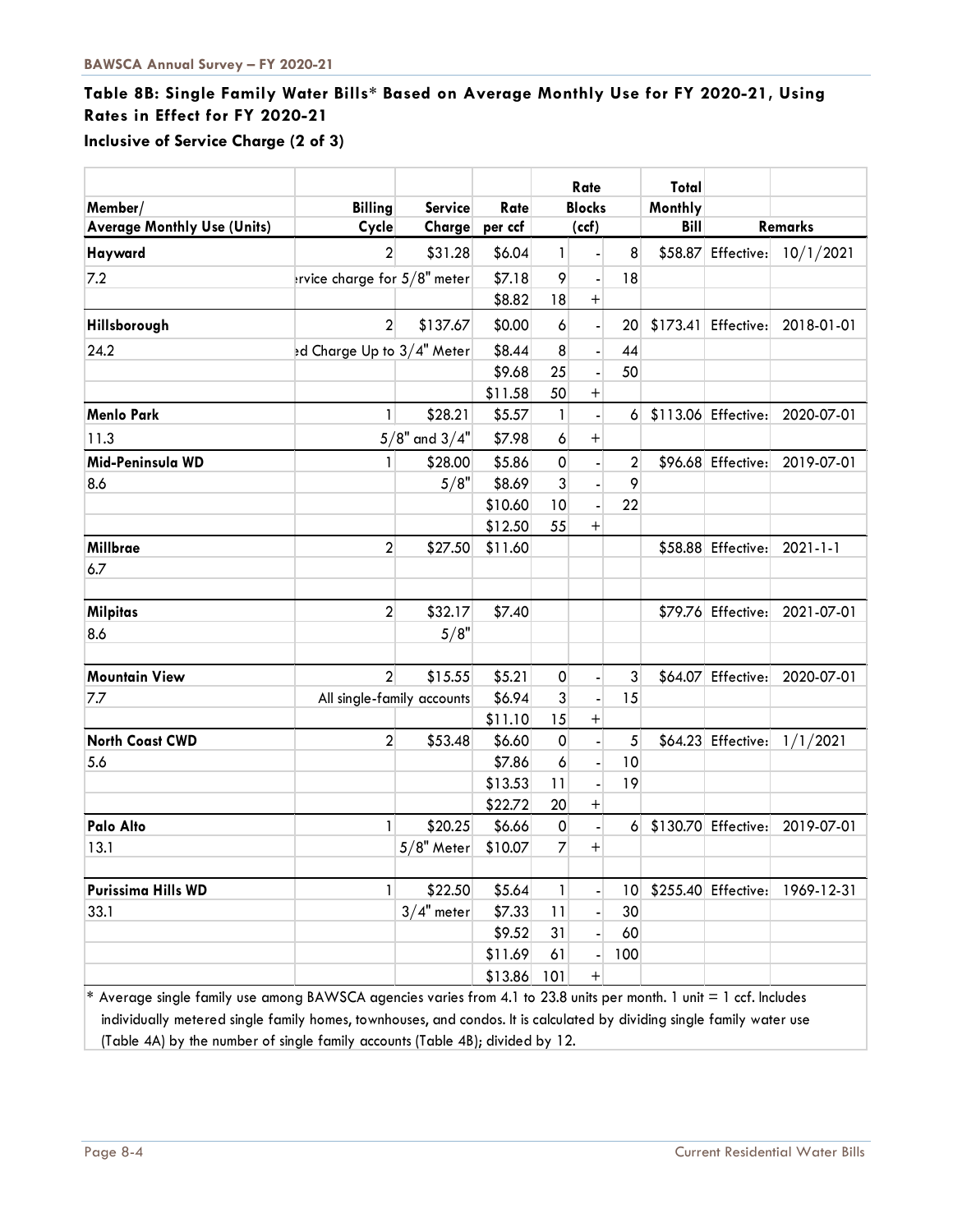# **Table 8B: Single Family Water Bills\* Based on Average Monthly Use for FY 2020-21, Using Rates in Effect for FY 2020-21**

**Inclusive of Service Charge (2 of 3)**

|                                    |                              |                   |         | Rate                |                                  | Total           |             |                      |                |
|------------------------------------|------------------------------|-------------------|---------|---------------------|----------------------------------|-----------------|-------------|----------------------|----------------|
| Member/                            | <b>Billing</b>               | <b>Service</b>    | Rate    | <b>Blocks</b>       |                                  |                 | Monthly     |                      |                |
| <b>Average Monthly Use (Units)</b> | Cycle                        | Charge            | per ccf |                     | (ccf)                            |                 | <b>Bill</b> | Remarks              |                |
| Hayward                            | $\overline{2}$               | \$31.28           | \$6.04  | 1                   |                                  | 8               |             | \$58.87 Effective:   | 10/1/2021      |
| 7.2                                | trvice charge for 5/8" meter |                   | \$7.18  | 9                   |                                  | 18              |             |                      |                |
|                                    |                              |                   | \$8.82  | 18                  | $\ddot{}$                        |                 |             |                      |                |
| Hillsborough                       | $\overline{2}$               | \$137.67          | \$0.00  | 6                   |                                  | 20              |             | $$173.41$ Effective: | 2018-01-01     |
| 24.2                               | ed Charge Up to 3/4" Meter   |                   | \$8.44  | 8                   | $\blacksquare$                   | 44              |             |                      |                |
|                                    |                              |                   | \$9.68  | 25                  |                                  | 50              |             |                      |                |
|                                    |                              |                   | \$11.58 | 50                  | $^{+}$                           |                 |             |                      |                |
| <b>Menlo Park</b>                  | $\mathbf{1}$                 | \$28.21           | \$5.57  | 1                   |                                  | 6               |             | \$113.06 Effective:  | 2020-07-01     |
| 11.3                               |                              | $5/8"$ and $3/4"$ | \$7.98  | 6                   | $\ddot{}$                        |                 |             |                      |                |
| Mid-Peninsula WD                   | $\mathbf{1}$                 | \$28.00           | \$5.86  | $\mathsf{O}\xspace$ |                                  | $\overline{2}$  |             | \$96.68 Effective:   | 2019-07-01     |
| 8.6                                |                              | 5/8"              | \$8.69  | 3                   |                                  | 9               |             |                      |                |
|                                    |                              |                   | \$10.60 | 10                  |                                  | 22              |             |                      |                |
|                                    |                              |                   | \$12.50 | 55                  | $\begin{array}{c} + \end{array}$ |                 |             |                      |                |
| Millbrae                           | $\overline{2}$               | \$27.50           | \$11.60 |                     |                                  |                 |             | \$58.88 Effective:   | $2021 - 1 - 1$ |
| 6.7                                |                              |                   |         |                     |                                  |                 |             |                      |                |
|                                    |                              |                   |         |                     |                                  |                 |             |                      |                |
| <b>Milpitas</b>                    | $\overline{2}$               | \$32.17           | \$7.40  |                     |                                  |                 |             | \$79.76 Effective:   | 2021-07-01     |
| 8.6                                |                              | 5/8"              |         |                     |                                  |                 |             |                      |                |
| <b>Mountain View</b>               | $\overline{2}$               | \$15.55           | \$5.21  | $\mathsf{O}\xspace$ | $\overline{\phantom{a}}$         | 3               |             | \$64.07 Effective:   | 2020-07-01     |
| 7.7                                | All single-family accounts   |                   | \$6.94  | 3                   |                                  | 15              |             |                      |                |
|                                    |                              |                   | \$11.10 | 15                  | $^{+}$                           |                 |             |                      |                |
| <b>North Coast CWD</b>             | $\overline{2}$               | \$53.48           | \$6.60  | $\pmb{0}$           |                                  | 5               |             | \$64.23 Effective:   | 1/1/2021       |
| 5.6                                |                              |                   | \$7.86  | 6                   | $\blacksquare$                   | 10              |             |                      |                |
|                                    |                              |                   | \$13.53 | 11                  |                                  | 19              |             |                      |                |
|                                    |                              |                   | \$22.72 | 20                  | $^{+}$                           |                 |             |                      |                |
| Palo Alto                          | $\mathbf{1}$                 | \$20.25           | \$6.66  | $\mathbf 0$         | $\overline{\phantom{a}}$         | 6               |             | \$130.70 Effective:  | 2019-07-01     |
| 13.1                               |                              | $5/8"$ Meter      | \$10.07 | $\overline{7}$      | $\ddot{}$                        |                 |             |                      |                |
|                                    |                              |                   |         |                     |                                  |                 |             |                      |                |
| <b>Purissima Hills WD</b>          | 1                            | \$22.50           | \$5.64  | 1                   |                                  | 10 <sup>°</sup> |             | \$255.40 Effective:  | 1969-12-31     |
| 33.1                               |                              | $3/4"$ meter      | \$7.33  | 11                  |                                  | 30              |             |                      |                |
|                                    |                              |                   | \$9.52  | 31                  |                                  | 60              |             |                      |                |
|                                    |                              |                   | \$11.69 | 61                  |                                  | 100             |             |                      |                |
|                                    |                              |                   | \$13.86 | 101                 | $^+$                             |                 |             |                      |                |

**\*\***Average single family use among BAWSCA agencies varies from 4.1 to 23.8 units per month. 1 unit = 1 ccf. Includes individually metered single family homes, townhouses, and condos. It is calculated by dividing single family water use (Table 4A) by the number of single family accounts (Table 4B); divided by 12.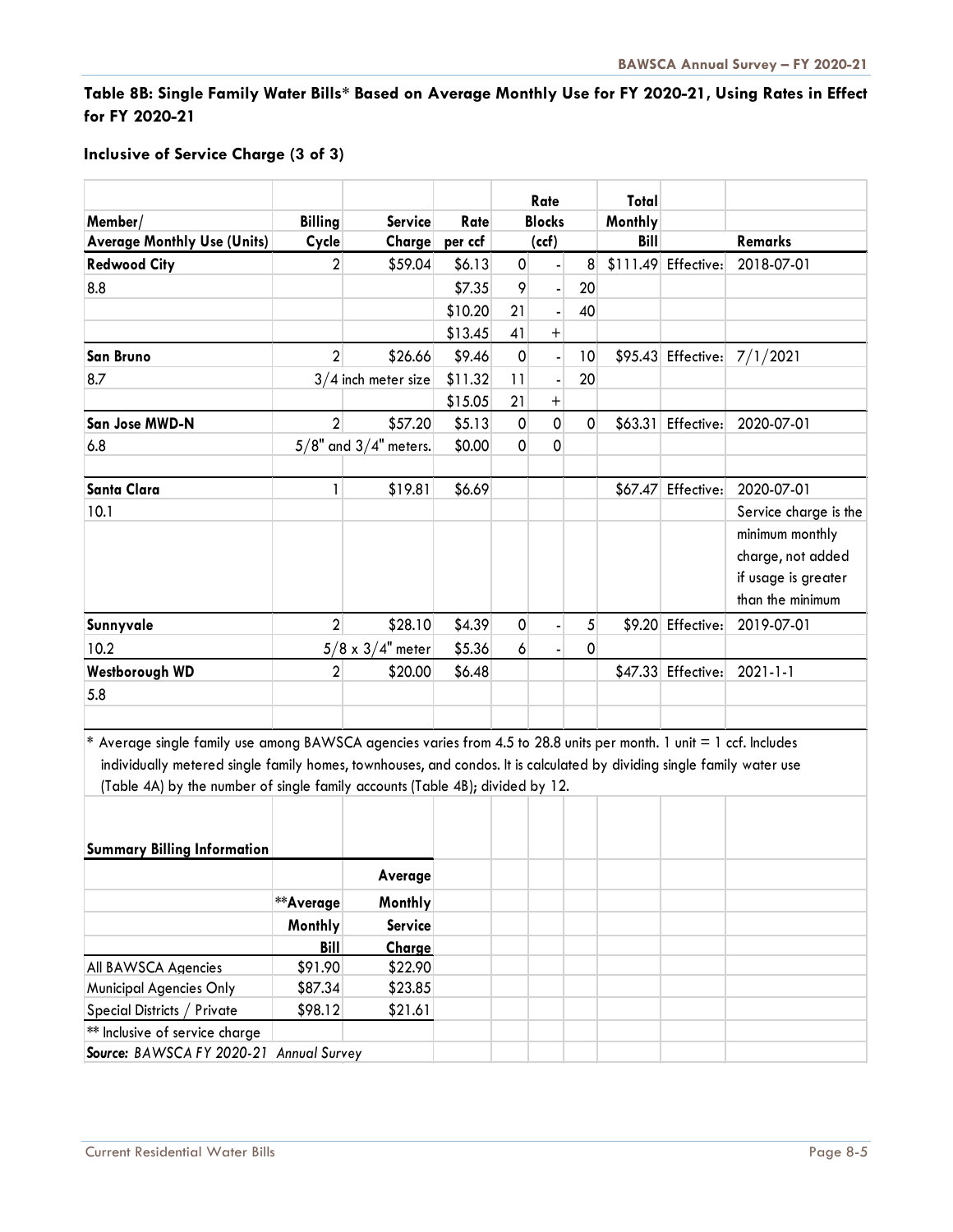## **Table 8B: Single Family Water Bills\* Based on Average Monthly Use for FY 2020-21, Using Rates in Effect for FY 2020-21**

#### **Inclusive of Service Charge (3 of 3)**

|                                                                                                                                                                                                                                                                                                                                        |                |                           |         | Rate          |                  | Total       |         |                     |                       |
|----------------------------------------------------------------------------------------------------------------------------------------------------------------------------------------------------------------------------------------------------------------------------------------------------------------------------------------|----------------|---------------------------|---------|---------------|------------------|-------------|---------|---------------------|-----------------------|
| Member/                                                                                                                                                                                                                                                                                                                                | <b>Billing</b> | <b>Service</b>            | Rate    | <b>Blocks</b> |                  | Monthly     |         |                     |                       |
| <b>Average Monthly Use (Units)</b>                                                                                                                                                                                                                                                                                                     | Cycle          | Charge                    | per ccf | (ccf)         |                  | <b>Bill</b> |         | <b>Remarks</b>      |                       |
| <b>Redwood City</b>                                                                                                                                                                                                                                                                                                                    | $\overline{2}$ | \$59.04                   | \$6.13  | $\pmb{0}$     |                  | 8           |         | \$111.49 Effective: | 2018-07-01            |
| 8.8                                                                                                                                                                                                                                                                                                                                    |                |                           | \$7.35  | 9             |                  | 20          |         |                     |                       |
|                                                                                                                                                                                                                                                                                                                                        |                |                           | \$10.20 | 21            |                  | 40          |         |                     |                       |
|                                                                                                                                                                                                                                                                                                                                        |                |                           | \$13.45 | 41            | $\boldsymbol{+}$ |             |         |                     |                       |
| <b>San Bruno</b>                                                                                                                                                                                                                                                                                                                       | $\overline{2}$ | \$26.66                   | \$9.46  | $\pmb{0}$     |                  | 10          |         | \$95.43 Effective:  | 7/1/2021              |
| 8.7                                                                                                                                                                                                                                                                                                                                    |                | $3/4$ inch meter size     | \$11.32 | 11            |                  | 20          |         |                     |                       |
|                                                                                                                                                                                                                                                                                                                                        |                |                           | \$15.05 | 21            | $\boldsymbol{+}$ |             |         |                     |                       |
| San Jose MWD-N                                                                                                                                                                                                                                                                                                                         | $\overline{2}$ | \$57.20                   | \$5.13  | $\pmb{0}$     | $\mathbf 0$      | $\mathbf 0$ | \$63.31 | Effective:          | 2020-07-01            |
| 6.8                                                                                                                                                                                                                                                                                                                                    |                | $5/8"$ and $3/4"$ meters. | \$0.00  | $\mathbf 0$   | 0                |             |         |                     |                       |
|                                                                                                                                                                                                                                                                                                                                        |                |                           |         |               |                  |             |         |                     |                       |
| <b>Santa Clara</b>                                                                                                                                                                                                                                                                                                                     | 1              | \$19.81                   | \$6.69  |               |                  |             |         | \$67.47 Effective:  | 2020-07-01            |
| 10.1                                                                                                                                                                                                                                                                                                                                   |                |                           |         |               |                  |             |         |                     | Service charge is the |
|                                                                                                                                                                                                                                                                                                                                        |                |                           |         |               |                  |             |         |                     | minimum monthly       |
|                                                                                                                                                                                                                                                                                                                                        |                |                           |         |               |                  |             |         |                     | charge, not added     |
|                                                                                                                                                                                                                                                                                                                                        |                |                           |         |               |                  |             |         |                     | if usage is greater   |
|                                                                                                                                                                                                                                                                                                                                        |                |                           |         |               |                  |             |         |                     | than the minimum      |
| Sunnyvale                                                                                                                                                                                                                                                                                                                              | $\overline{2}$ | \$28.10                   | \$4.39  | $\mathsf 0$   |                  | 5           |         | \$9.20 Effective:   | 2019-07-01            |
| 10.2                                                                                                                                                                                                                                                                                                                                   |                | $5/8 \times 3/4$ " meter  | \$5.36  | 6             |                  | 0           |         |                     |                       |
| <b>Westborough WD</b>                                                                                                                                                                                                                                                                                                                  | $\overline{2}$ | \$20.00                   | \$6.48  |               |                  |             |         | \$47.33 Effective:  | $2021 - 1 - 1$        |
| 5.8                                                                                                                                                                                                                                                                                                                                    |                |                           |         |               |                  |             |         |                     |                       |
|                                                                                                                                                                                                                                                                                                                                        |                |                           |         |               |                  |             |         |                     |                       |
| Average single family use among BAWSCA agencies varies from 4.5 to 28.8 units per month. 1 unit = 1 ccf. Includes<br>$\ast$<br>individually metered single family homes, townhouses, and condos. It is calculated by dividing single family water use<br>(Table 4A) by the number of single family accounts (Table 4B); divided by 12. |                |                           |         |               |                  |             |         |                     |                       |
|                                                                                                                                                                                                                                                                                                                                        |                |                           |         |               |                  |             |         |                     |                       |
| <b>Summary Billing Information</b>                                                                                                                                                                                                                                                                                                     |                |                           |         |               |                  |             |         |                     |                       |
|                                                                                                                                                                                                                                                                                                                                        |                | Average                   |         |               |                  |             |         |                     |                       |
|                                                                                                                                                                                                                                                                                                                                        | **Average      | Monthly                   |         |               |                  |             |         |                     |                       |
|                                                                                                                                                                                                                                                                                                                                        | <b>Monthly</b> | <b>Service</b>            |         |               |                  |             |         |                     |                       |
|                                                                                                                                                                                                                                                                                                                                        | <b>Bill</b>    | Charge                    |         |               |                  |             |         |                     |                       |
| <b>All BAWSCA Agencies</b>                                                                                                                                                                                                                                                                                                             | \$91.90        | \$22.90                   |         |               |                  |             |         |                     |                       |
| <b>Municipal Agencies Only</b>                                                                                                                                                                                                                                                                                                         | \$87.34        | \$23.85                   |         |               |                  |             |         |                     |                       |
| Special Districts / Private                                                                                                                                                                                                                                                                                                            | \$98.12        | \$21.61                   |         |               |                  |             |         |                     |                       |
| ** Inclusive of service charge                                                                                                                                                                                                                                                                                                         |                |                           |         |               |                  |             |         |                     |                       |
| Source: BAWSCA FY 2020-21 Annual Survey                                                                                                                                                                                                                                                                                                |                |                           |         |               |                  |             |         |                     |                       |